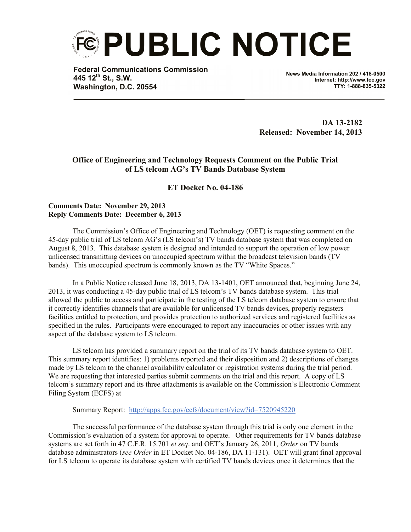

**Federal Communications Commission 445 12th St., S.W. Washington, D.C. 20554**

**News Media Information 202 / 418-0500 Internet: http://www.fcc.gov TTY: 1-888-835-5322**

**DA 13-2182 Released: November 14, 2013**

## **Office of Engineering and Technology Requests Comment on the Public Trial of LS telcom AG's TV Bands Database System**

## **ET Docket No. 04-186**

## **Comments Date: November 29, 2013 Reply Comments Date: December 6, 2013**

The Commission's Office of Engineering and Technology (OET) is requesting comment on the 45-day public trial of LS telcom AG's (LS telcom's) TV bands database system that was completed on August 8, 2013. This database system is designed and intended to support the operation of low power unlicensed transmitting devices on unoccupied spectrum within the broadcast television bands (TV bands). This unoccupied spectrum is commonly known as the TV "White Spaces."

In a Public Notice released June 18, 2013, DA 13-1401, OET announced that, beginning June 24, 2013, it was conducting a 45-day public trial of LS telcom's TV bands database system. This trial allowed the public to access and participate in the testing of the LS telcom database system to ensure that it correctly identifies channels that are available for unlicensed TV bands devices, properly registers facilities entitled to protection, and provides protection to authorized services and registered facilities as specified in the rules. Participants were encouraged to report any inaccuracies or other issues with any aspect of the database system to LS telcom.

LS telcom has provided a summary report on the trial of its TV bands database system to OET. This summary report identifies: 1) problems reported and their disposition and 2) descriptions of changes made by LS telcom to the channel availability calculator or registration systems during the trial period. We are requesting that interested parties submit comments on the trial and this report. A copy of LS telcom's summary report and its three attachments is available on the Commission's Electronic Comment Filing System (ECFS) at

Summary Report: http://apps.fcc.gov/ecfs/document/view?id=7520945220

The successful performance of the database system through this trial is only one element in the Commission's evaluation of a system for approval to operate. Other requirements for TV bands database systems are set forth in 47 C.F.R. 15.701 *et seq*. and OET's January 26, 2011, *Order* on TV bands database administrators (*see Order* in ET Docket No. 04-186, DA 11-131). OET will grant final approval for LS telcom to operate its database system with certified TV bands devices once it determines that the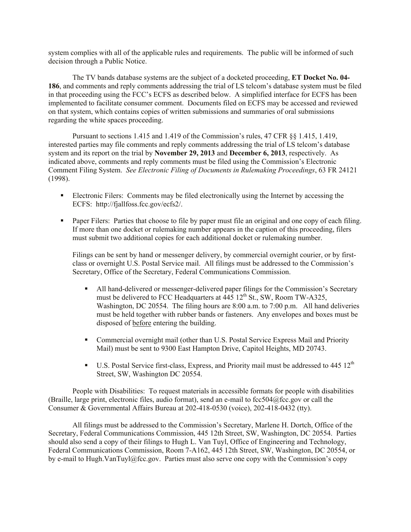system complies with all of the applicable rules and requirements. The public will be informed of such decision through a Public Notice.

The TV bands database systems are the subject of a docketed proceeding, **ET Docket No. 04- 186**, and comments and reply comments addressing the trial of LS telcom's database system must be filed in that proceeding using the FCC's ECFS as described below. A simplified interface for ECFS has been implemented to facilitate consumer comment. Documents filed on ECFS may be accessed and reviewed on that system, which contains copies of written submissions and summaries of oral submissions regarding the white spaces proceeding.

Pursuant to sections 1.415 and 1.419 of the Commission's rules, 47 CFR §§ 1.415, 1.419, interested parties may file comments and reply comments addressing the trial of LS telcom's database system and its report on the trial by **November 29, 2013** and **December 6, 2013**, respectively. As indicated above, comments and reply comments must be filed using the Commission's Electronic Comment Filing System. *See Electronic Filing of Documents in Rulemaking Proceedings*, 63 FR 24121 (1998).

- Electronic Filers: Comments may be filed electronically using the Internet by accessing the ECFS: http://fjallfoss.fcc.gov/ecfs2/.
- **Paper Filers:** Parties that choose to file by paper must file an original and one copy of each filing. If more than one docket or rulemaking number appears in the caption of this proceeding, filers must submit two additional copies for each additional docket or rulemaking number.

Filings can be sent by hand or messenger delivery, by commercial overnight courier, or by firstclass or overnight U.S. Postal Service mail. All filings must be addressed to the Commission's Secretary, Office of the Secretary, Federal Communications Commission.

- All hand-delivered or messenger-delivered paper filings for the Commission's Secretary must be delivered to FCC Headquarters at  $\overline{445}$  12<sup>th</sup> St., SW, Room TW-A325, Washington, DC 20554. The filing hours are 8:00 a.m. to 7:00 p.m. All hand deliveries must be held together with rubber bands or fasteners. Any envelopes and boxes must be disposed of before entering the building.
- Commercial overnight mail (other than U.S. Postal Service Express Mail and Priority Mail) must be sent to 9300 East Hampton Drive, Capitol Heights, MD 20743.
- $\blacksquare$  U.S. Postal Service first-class, Express, and Priority mail must be addressed to 445 12<sup>th</sup> Street, SW, Washington DC 20554.

People with Disabilities: To request materials in accessible formats for people with disabilities (Braille, large print, electronic files, audio format), send an e-mail to fcc504@fcc.gov or call the Consumer & Governmental Affairs Bureau at 202-418-0530 (voice), 202-418-0432 (tty).

All filings must be addressed to the Commission's Secretary, Marlene H. Dortch, Office of the Secretary, Federal Communications Commission, 445 12th Street, SW, Washington, DC 20554. Parties should also send a copy of their filings to Hugh L. Van Tuyl, Office of Engineering and Technology, Federal Communications Commission, Room 7-A162, 445 12th Street, SW, Washington, DC 20554, or by e-mail to Hugh.VanTuyl@fcc.gov. Parties must also serve one copy with the Commission's copy